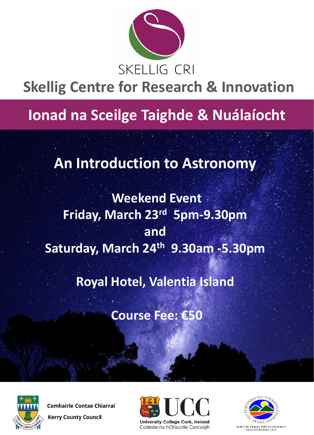

# **Skellig Centre for Research & Innovation**

## **Ionad na Sceilge Taighde & Nuálaíocht**

### **An Introduction to Astronomy**

### **Weekend Event Friday, March 23rd 5pm-9.30pm and Saturday, March 24th 9.30am -5.30pm**

**Royal Hotel, Valentia Island** 

**Course Fee: €50**



**Comhairle Contae Chiarraí Kerry County Council**